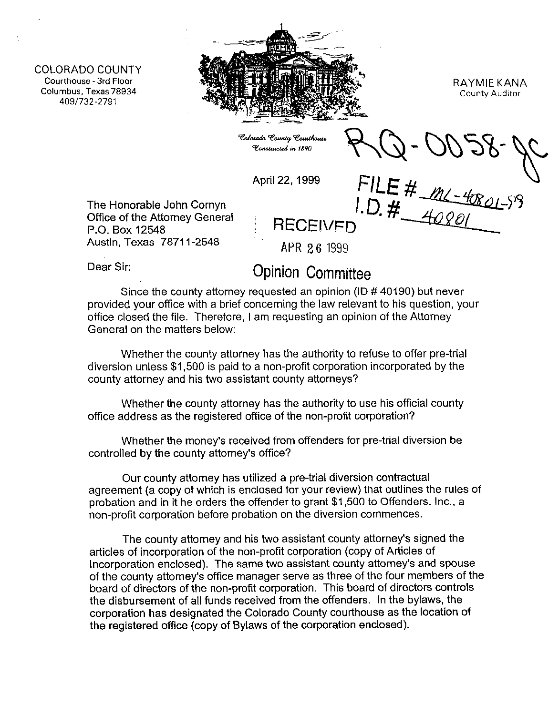COLORADO COUNTY **Courthouse - 3rd Floor Columbus, Texas78934 409/732-2791** 



RAYMIE KANA **County Auditor** 

Colorado County Courthouse Constructed in 1890

April 22, 1999 FILE #  $M-4$ 

The Honorable John Cornyn Office of the Attorney General P.O. Box 12548 **F.O. Box 12548** Austin, Texas 78711-2548 APR 26 1999

## Dear Sir: **Opinion Committee**

Since the county attorney requested an opinion (ID # 40190) but never provided your office with a brief concerning the law relevant to his question, your office closed the file. Therefore, I am requesting an opinion of the Attorney General on the matters below:

Whether the county attorney has the authority to refuse to offer pre-trial diversion unless \$1,500 is paid to a non-profit corporation incorporated by the county attorney and his two assistant county attorneys?

Whether the county attorney has the authority to use his official county office address as the registered office of the non-profit corporation?

Whether the money's received from offenders for pre-trial diversion be controlled by the county attorney's office?

Our county attorney has utilized a pre-trial diversion contractual agreement (a copy of which is enclosed for your review) that outlines the rules of probation and in it he orders the offender to grant \$1,500 to Offenders, Inc., a non-profit corporation before probation on the diversion commences.

The county attorney and his two assistant county attorney's signed the articles of incorporation of the non-profit corporation (copy of Articles of Incorporation enclosed). The same two assistant county attorney's and spouse of the county attorney's office manager serve as three of the four members of the board of directors of the non-profit corporation. This board of directors controls the disbursement of all funds received from the offenders. In the bylaws, the corporation has designated the Colorado County courthouse as the location of the registered office (copy of Bylaws of the corporation enclosed).